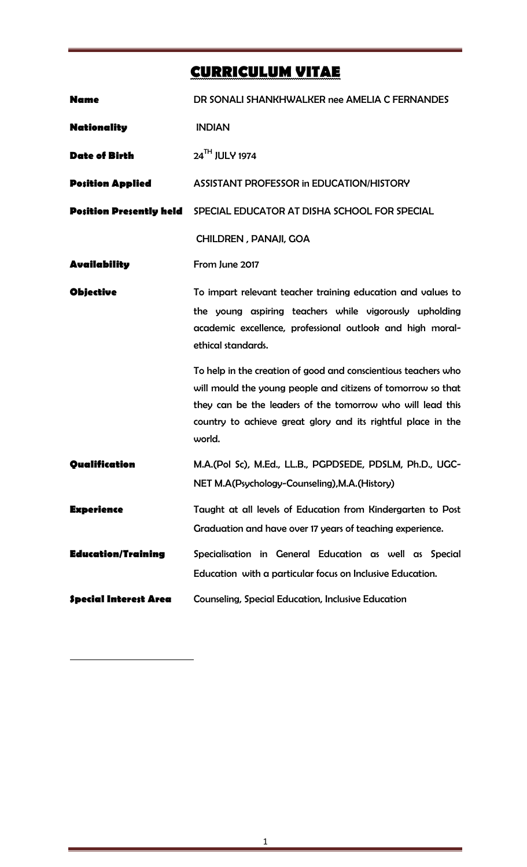# **CURRICULUM VITAE**

| <b>Name</b>                    | DR SONALI SHANKHWALKER nee AMELIA C FERNANDES                                                                                                                                                                                                                                                                                                                                                                                                                                      |
|--------------------------------|------------------------------------------------------------------------------------------------------------------------------------------------------------------------------------------------------------------------------------------------------------------------------------------------------------------------------------------------------------------------------------------------------------------------------------------------------------------------------------|
| <b>Nationality</b>             | <b>INDIAN</b>                                                                                                                                                                                                                                                                                                                                                                                                                                                                      |
| <b>Date of Birth</b>           | 24TH JULY 1974                                                                                                                                                                                                                                                                                                                                                                                                                                                                     |
| <b>Position Applied</b>        | ASSISTANT PROFESSOR in EDUCATION/HISTORY                                                                                                                                                                                                                                                                                                                                                                                                                                           |
| <b>Position Presently held</b> | SPECIAL EDUCATOR AT DISHA SCHOOL FOR SPECIAL                                                                                                                                                                                                                                                                                                                                                                                                                                       |
|                                | <b>CHILDREN, PANAJI, GOA</b>                                                                                                                                                                                                                                                                                                                                                                                                                                                       |
| <b>Availability</b>            | From June 2017                                                                                                                                                                                                                                                                                                                                                                                                                                                                     |
| <b>Objective</b>               | To impart relevant teacher training education and values to<br>the young aspiring teachers while vigorously upholding<br>academic excellence, professional outlook and high moral-<br>ethical standards.<br>To help in the creation of good and conscientious teachers who<br>will mould the young people and citizens of tomorrow so that<br>they can be the leaders of the tomorrow who will lead this<br>country to achieve great glory and its rightful place in the<br>world. |
| Qualification                  | M.A.(Pol Sc), M.Ed., LL.B., PGPDSEDE, PDSLM, Ph.D., UGC-<br>NET M.A(Psychology-Counseling), M.A.(History)                                                                                                                                                                                                                                                                                                                                                                          |
| <b>Experience</b>              | Taught at all levels of Education from Kindergarten to Post<br>Graduation and have over 17 years of teaching experience.                                                                                                                                                                                                                                                                                                                                                           |
| <b>Education/Training</b>      | Specialisation in General Education as well as Special<br>Education with a particular focus on Inclusive Education.                                                                                                                                                                                                                                                                                                                                                                |
| <b>Special Interest Area</b>   | <b>Counseling, Special Education, Inclusive Education</b>                                                                                                                                                                                                                                                                                                                                                                                                                          |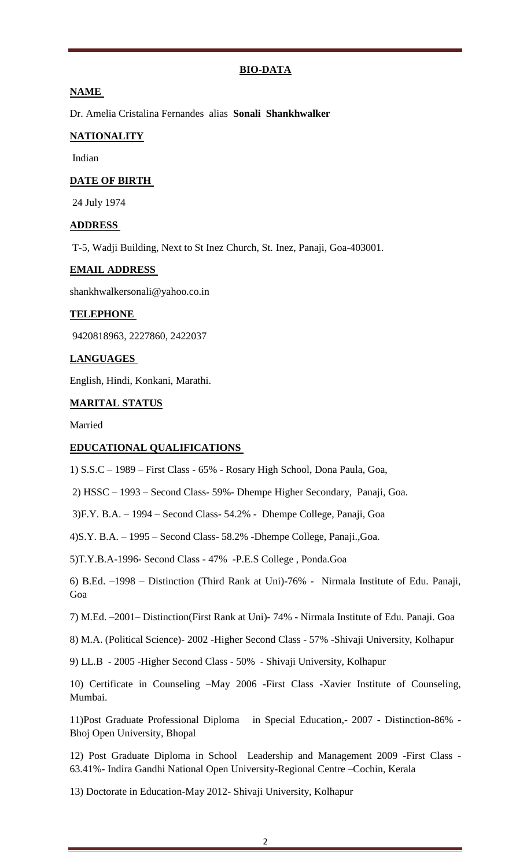#### **BIO-DATA**

#### **NAME**

Dr. Amelia Cristalina Fernandes alias **Sonali Shankhwalker**

#### **NATIONALITY**

Indian

#### **DATE OF BIRTH**

24 July 1974

#### **ADDRESS**

T-5, Wadji Building, Next to St Inez Church, St. Inez, Panaji, Goa-403001.

#### **EMAIL ADDRESS**

shankhwalkersonali@yahoo.co.in

#### **TELEPHONE**

9420818963, 2227860, 2422037

#### **LANGUAGES**

English, Hindi, Konkani, Marathi.

#### **MARITAL STATUS**

Married

#### **EDUCATIONAL QUALIFICATIONS**

1) S.S.C – 1989 – First Class - 65% - Rosary High School, Dona Paula, Goa,

2) HSSC – 1993 – Second Class- 59%- Dhempe Higher Secondary, Panaji, Goa.

3)F.Y. B.A. – 1994 – Second Class- 54.2% - Dhempe College, Panaji, Goa

4)S.Y. B.A. – 1995 – Second Class- 58.2% -Dhempe College, Panaji.,Goa.

5)T.Y.B.A-1996- Second Class - 47% -P.E.S College , Ponda.Goa

6) B.Ed. –1998 – Distinction (Third Rank at Uni)-76% - Nirmala Institute of Edu. Panaji, Goa

7) M.Ed. –2001– Distinction(First Rank at Uni)- 74% - Nirmala Institute of Edu. Panaji. Goa

8) M.A. (Political Science)- 2002 -Higher Second Class - 57% -Shivaji University, Kolhapur

9) LL.B - 2005 -Higher Second Class - 50% - Shivaji University, Kolhapur

10) Certificate in Counseling –May 2006 -First Class -Xavier Institute of Counseling, Mumbai.

11)Post Graduate Professional Diploma in Special Education,- 2007 - Distinction-86% - Bhoj Open University, Bhopal

12) Post Graduate Diploma in School Leadership and Management 2009 -First Class - 63.41%- Indira Gandhi National Open University-Regional Centre –Cochin, Kerala

13) Doctorate in Education-May 2012- Shivaji University, Kolhapur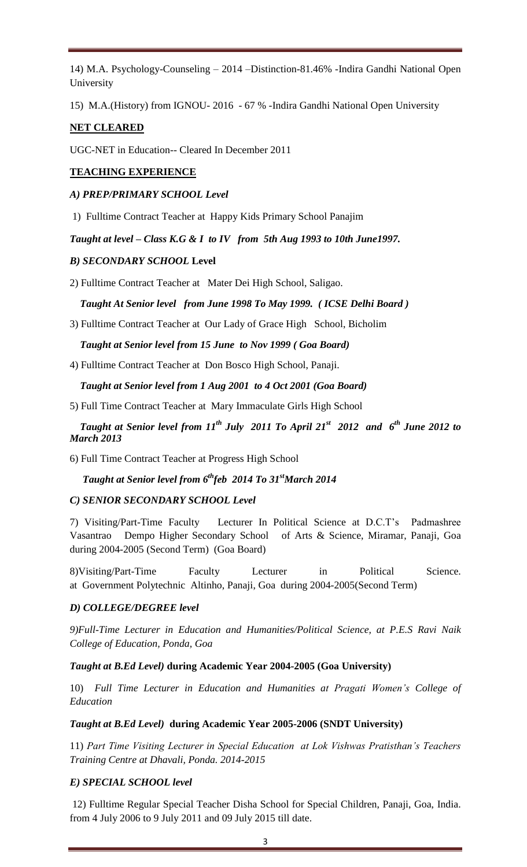14) M.A. Psychology-Counseling – 2014 –Distinction-81.46% -Indira Gandhi National Open University

15) M.A.(History) from IGNOU- 2016 - 67 % -Indira Gandhi National Open University

# **NET CLEARED**

UGC-NET in Education-- Cleared In December 2011

# **TEACHING EXPERIENCE**

## *A) PREP/PRIMARY SCHOOL Level*

1) Fulltime Contract Teacher at Happy Kids Primary School Panajim

*Taught at level – Class K.G & I to IV from 5th Aug 1993 to 10th June1997.*

#### *B) SECONDARY SCHOOL* **Level**

2) Fulltime Contract Teacher at Mater Dei High School, Saligao.

## *Taught At Senior level from June 1998 To May 1999. ( ICSE Delhi Board )*

3) Fulltime Contract Teacher at Our Lady of Grace High School, Bicholim

#### *Taught at Senior level from 15 June to Nov 1999 ( Goa Board)*

4) Fulltime Contract Teacher at Don Bosco High School, Panaji.

 *Taught at Senior level from 1 Aug 2001 to 4 Oct 2001 (Goa Board)* 

5) Full Time Contract Teacher at Mary Immaculate Girls High School

## *Taught at Senior level from 11th July 2011 To April 21st 2012 and 6th June 2012 to March 2013*

6) Full Time Contract Teacher at Progress High School

# *Taught at Senior level from 6thfeb 2014 To 31stMarch 2014*

## *C) SENIOR SECONDARY SCHOOL Level*

7) Visiting/Part-Time Faculty Lecturer In Political Science at D.C.T's Padmashree Vasantrao Dempo Higher Secondary School of Arts & Science, Miramar, Panaji, Goa during 2004-2005 (Second Term) (Goa Board)

8)Visiting/Part-Time Faculty Lecturer in Political Science. at Government Polytechnic Altinho, Panaji, Goa during 2004-2005(Second Term)

## *D) COLLEGE/DEGREE level*

*9)Full-Time Lecturer in Education and Humanities/Political Science, at P.E.S Ravi Naik College of Education, Ponda, Goa* 

#### *Taught at B.Ed Level)* **during Academic Year 2004-2005 (Goa University)**

10) *Full Time Lecturer in Education and Humanities at Pragati Women's College of Education* 

#### *Taught at B.Ed Level)* **during Academic Year 2005-2006 (SNDT University)**

11) *Part Time Visiting Lecturer in Special Education at Lok Vishwas Pratisthan's Teachers Training Centre at Dhavali, Ponda. 2014-2015*

## *E) SPECIAL SCHOOL level*

12) Fulltime Regular Special Teacher Disha School for Special Children, Panaji, Goa, India. from 4 July 2006 to 9 July 2011 and 09 July 2015 till date.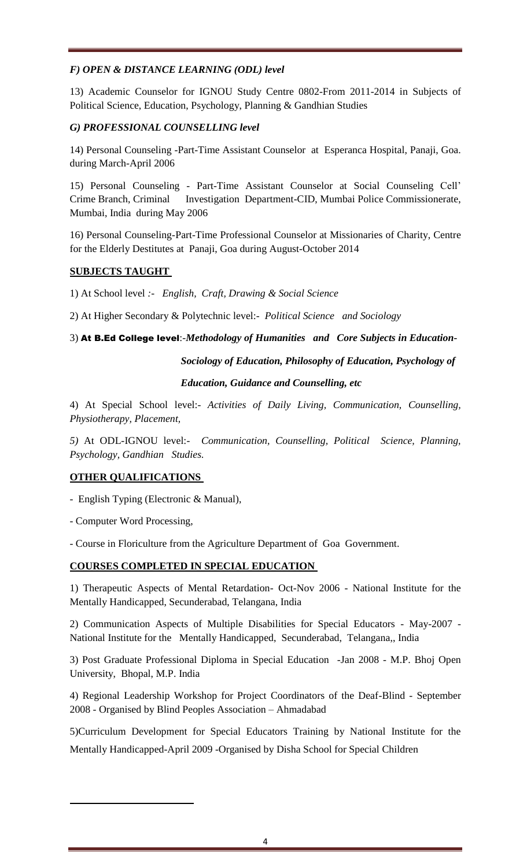# *F) OPEN & DISTANCE LEARNING (ODL) level*

13) Academic Counselor for IGNOU Study Centre 0802-From 2011-2014 in Subjects of Political Science, Education, Psychology, Planning & Gandhian Studies

# *G) PROFESSIONAL COUNSELLING level*

14) Personal Counseling -Part-Time Assistant Counselor at Esperanca Hospital, Panaji, Goa. during March-April 2006

15) Personal Counseling - Part-Time Assistant Counselor at Social Counseling Cell' Crime Branch, Criminal Investigation Department-CID, Mumbai Police Commissionerate, Mumbai, India during May 2006

16) Personal Counseling-Part-Time Professional Counselor at Missionaries of Charity, Centre for the Elderly Destitutes at Panaji, Goa during August-October 2014

# **SUBJECTS TAUGHT**

1) At School level *:- English, Craft, Drawing & Social Science*

2) At Higher Secondary & Polytechnic level:- *Political Science and Sociology*

3) At B.Ed College level:-*Methodology of Humanities and Core Subjects in Education-* 

 *Sociology of Education, Philosophy of Education, Psychology of* 

## *Education, Guidance and Counselling, etc*

4) At Special School level:- *Activities of Daily Living, Communication, Counselling, Physiotherapy, Placement,*

*5)* At ODL-IGNOU level:- *Communication, Counselling, Political Science, Planning, Psychology, Gandhian Studies.*

## **OTHER QUALIFICATIONS**

- English Typing (Electronic & Manual),

- Computer Word Processing,

- Course in Floriculture from the Agriculture Department of Goa Government.

## **COURSES COMPLETED IN SPECIAL EDUCATION**

1) Therapeutic Aspects of Mental Retardation- Oct-Nov 2006 - National Institute for the Mentally Handicapped, Secunderabad, Telangana, India

2) Communication Aspects of Multiple Disabilities for Special Educators - May-2007 - National Institute for the Mentally Handicapped, Secunderabad, Telangana,, India

3) Post Graduate Professional Diploma in Special Education -Jan 2008 - M.P. Bhoj Open University, Bhopal, M.P. India

4) Regional Leadership Workshop for Project Coordinators of the Deaf-Blind - September 2008 - Organised by Blind Peoples Association – Ahmadabad

5)Curriculum Development for Special Educators Training by National Institute for the Mentally Handicapped-April 2009 -Organised by Disha School for Special Children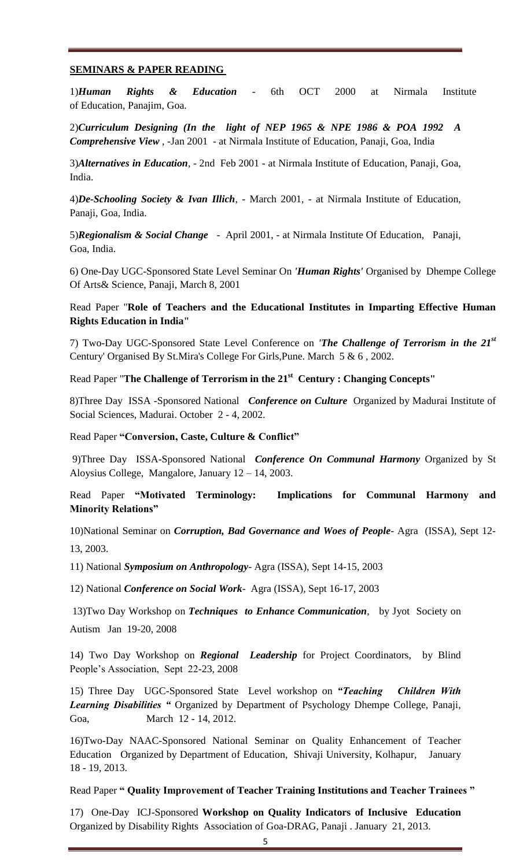#### **SEMINARS & PAPER READING**

1)*Human Rights & Education* - 6th OCT 2000 at Nirmala Institute of Education, Panajim, Goa.

2)*Curriculum Designing (In the light of NEP 1965 & NPE 1986 & POA 1992 A Comprehensive View* , -Jan 2001 - at Nirmala Institute of Education, Panaji, Goa, India

3)*Alternatives in Education*, - 2nd Feb 2001 - at Nirmala Institute of Education, Panaji, Goa, India.

4)*De-Schooling Society & Ivan Illich*, - March 2001, - at Nirmala Institute of Education, Panaji, Goa, India.

5)*Regionalism & Social Change* - April 2001, - at Nirmala Institute Of Education, Panaji, Goa, India.

6) One-Day UGC-Sponsored State Level Seminar On *'Human Rights'* Organised by Dhempe College Of Arts& Science, Panaji, March 8, 2001

Read Paper "**Role of Teachers and the Educational Institutes in Imparting Effective Human Rights Education in India"**

7) Two-Day UGC-Sponsored State Level Conference on *'The Challenge of Terrorism in the 21st* Century' Organised By St.Mira's College For Girls,Pune. March 5 & 6 , 2002.

Read Paper "**The Challenge of Terrorism in the 21st Century : Changing Concepts"**

8)Three Day ISSA -Sponsored National *Conference on Culture* Organized by Madurai Institute of Social Sciences, Madurai. October 2 - 4, 2002.

Read Paper **"Conversion, Caste, Culture & Conflict"**

9)Three Day ISSA-Sponsored National *Conference On Communal Harmony* Organized by St Aloysius College, Mangalore, January 12 – 14, 2003.

## Read Paper **"Motivated Terminology: Implications for Communal Harmony and Minority Relations"**

10)National Seminar on *Corruption, Bad Governance and Woes of People*- Agra (ISSA), Sept 12- 13, 2003.

11) National *Symposium on Anthropology*- Agra (ISSA), Sept 14-15, 2003

12) National *Conference on Social Work*- Agra (ISSA), Sept 16-17, 2003

13)Two Day Workshop on *Techniques to Enhance Communication*, by Jyot Society on Autism Jan 19-20, 2008

14) Two Day Workshop on *Regional Leadership* for Project Coordinators, by Blind People's Association, Sept 22-23, 2008

15) Three Day UGC-Sponsored State Level workshop on *"Teaching Children With Learning Disabilities "* Organized by Department of Psychology Dhempe College, Panaji, Goa, March 12 - 14, 2012.

16)Two-Day NAAC-Sponsored National Seminar on Quality Enhancement of Teacher Education Organized by Department of Education, Shivaji University, Kolhapur, January 18 - 19, 2013.

Read Paper **" Quality Improvement of Teacher Training Institutions and Teacher Trainees "**

17) One-Day ICJ-Sponsored **Workshop on Quality Indicators of Inclusive Education** Organized by Disability Rights Association of Goa-DRAG, Panaji . January 21, 2013.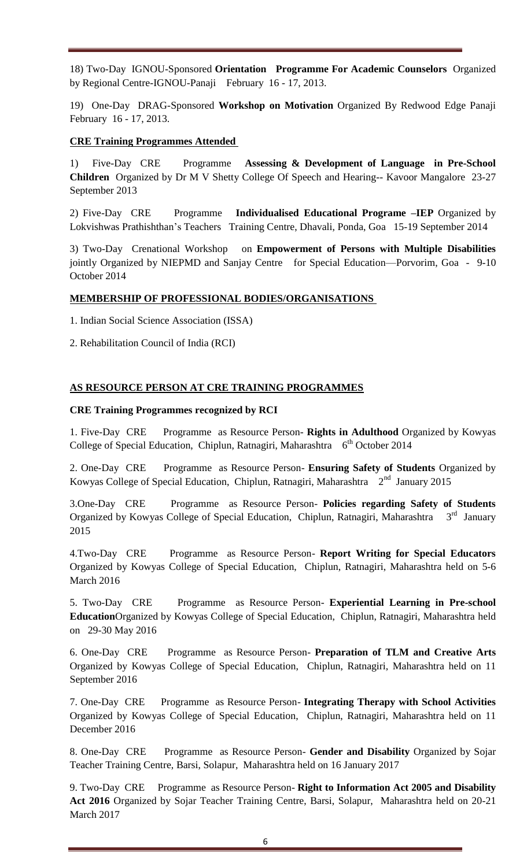18) Two-Day IGNOU-Sponsored **Orientation Programme For Academic Counselors** Organized by Regional Centre-IGNOU-Panaji February 16 - 17, 2013.

19) One-Day DRAG-Sponsored **Workshop on Motivation** Organized By Redwood Edge Panaji February 16 - 17, 2013.

#### **CRE Training Programmes Attended**

1)Five-Day CRE Programme **Assessing & Development of Language in Pre-School Children** Organized by Dr M V Shetty College Of Speech and Hearing-- Kavoor Mangalore 23-27 September 2013

2) Five-Day CRE Programme **Individualised Educational Programe –IEP** Organized by Lokvishwas Prathishthan's Teachers Training Centre, Dhavali, Ponda, Goa 15-19 September 2014

3) Two-Day Crenational Workshop on **Empowerment of Persons with Multiple Disabilities** jointly Organized by NIEPMD and Sanjay Centre for Special Education—Porvorim, Goa - 9-10 October 2014

#### **MEMBERSHIP OF PROFESSIONAL BODIES/ORGANISATIONS**

1. Indian Social Science Association (ISSA)

2. Rehabilitation Council of India (RCI)

#### **AS RESOURCE PERSON AT CRE TRAINING PROGRAMMES**

#### **CRE Training Programmes recognized by RCI**

1. Five-Day CRE Programme as Resource Person- **Rights in Adulthood** Organized by Kowyas College of Special Education, Chiplun, Ratnagiri, Maharashtra 6<sup>th</sup> October 2014

2. One-Day CRE Programme as Resource Person- **Ensuring Safety of Students** Organized by Kowyas College of Special Education, Chiplun, Ratnagiri, Maharashtra  $2<sup>nd</sup>$  January 2015

3.One-Day CRE Programme as Resource Person- **Policies regarding Safety of Students** Organized by Kowyas College of Special Education, Chiplun, Ratnagiri, Maharashtra 3<sup>rd</sup> January 2015

4.Two-Day CRE Programme as Resource Person- **Report Writing for Special Educators** Organized by Kowyas College of Special Education, Chiplun, Ratnagiri, Maharashtra held on 5-6 March 2016

5. Two-Day CRE Programme as Resource Person- **Experiential Learning in Pre-school Education**Organized by Kowyas College of Special Education, Chiplun, Ratnagiri, Maharashtra held on 29-30 May 2016

6. One-Day CRE Programme as Resource Person- **Preparation of TLM and Creative Arts** Organized by Kowyas College of Special Education, Chiplun, Ratnagiri, Maharashtra held on 11 September 2016

7. One-Day CRE Programme as Resource Person- **Integrating Therapy with School Activities** Organized by Kowyas College of Special Education, Chiplun, Ratnagiri, Maharashtra held on 11 December 2016

8. One-Day CRE Programme as Resource Person- **Gender and Disability** Organized by Sojar Teacher Training Centre, Barsi, Solapur, Maharashtra held on 16 January 2017

9. Two-Day CRE Programme as Resource Person- **Right to Information Act 2005 and Disability Act 2016** Organized by Sojar Teacher Training Centre, Barsi, Solapur, Maharashtra held on 20-21 March 2017